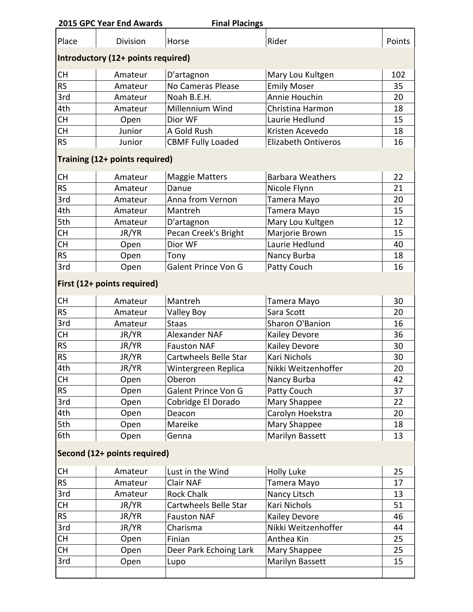|                                    | 2015 GPC Year End Awards | <b>Final Placings</b>    |                         |        |  |  |  |
|------------------------------------|--------------------------|--------------------------|-------------------------|--------|--|--|--|
| Place                              | Division                 | Horse                    | Rider                   | Points |  |  |  |
| Introductory (12+ points required) |                          |                          |                         |        |  |  |  |
| <b>CH</b>                          | Amateur                  | D'artagnon               | Mary Lou Kultgen        | 102    |  |  |  |
| <b>RS</b>                          | Amateur                  | No Cameras Please        | <b>Emily Moser</b>      | 35     |  |  |  |
| 3rd                                | Amateur                  | Noah B.E.H.              | Annie Houchin           | 20     |  |  |  |
| 4th                                | Amateur                  | Millennium Wind          | Christina Harmon        | 18     |  |  |  |
| <b>CH</b>                          | Open                     | Dior WF                  | Laurie Hedlund          | 15     |  |  |  |
| <b>CH</b>                          | Junior                   | A Gold Rush              | Kristen Acevedo         | 18     |  |  |  |
| <b>RS</b>                          | Junior                   | <b>CBMF Fully Loaded</b> | Elizabeth Ontiveros     | 16     |  |  |  |
| Training (12+ points required)     |                          |                          |                         |        |  |  |  |
| <b>CH</b>                          | Amateur                  | <b>Maggie Matters</b>    | <b>Barbara Weathers</b> | 22     |  |  |  |
| <b>RS</b>                          | Amateur                  | Danue                    | Nicole Flynn            | 21     |  |  |  |
| 3rd                                | Amateur                  | Anna from Vernon         | Tamera Mayo             | 20     |  |  |  |
| 4th                                | Amateur                  | Mantreh                  | Tamera Mayo             | 15     |  |  |  |
| 5th                                | Amateur                  | D'artagnon               | Mary Lou Kultgen        | 12     |  |  |  |
| <b>CH</b>                          | JR/YR                    | Pecan Creek's Bright     | Marjorie Brown          | 15     |  |  |  |
| <b>CH</b>                          | Open                     | Dior WF                  | Laurie Hedlund          | 40     |  |  |  |
| <b>RS</b>                          | Open                     | Tony                     | Nancy Burba             | 18     |  |  |  |
| 3rd                                | Open                     | Galent Prince Von G      | Patty Couch             | 16     |  |  |  |
| First (12+ points required)        |                          |                          |                         |        |  |  |  |
| <b>CH</b>                          | Amateur                  | Mantreh                  | Tamera Mayo             | 30     |  |  |  |
| <b>RS</b>                          | Amateur                  | <b>Valley Boy</b>        | Sara Scott              | 20     |  |  |  |
| 3rd                                | Amateur                  | <b>Staas</b>             | Sharon O'Banion         | 16     |  |  |  |
| <b>CH</b>                          | JR/YR                    | Alexander NAF            | Kailey Devore           | 36     |  |  |  |
| <b>RS</b>                          | JR/YR                    | <b>Fauston NAF</b>       | Kailey Devore           | 30     |  |  |  |
| <b>RS</b>                          | JR/YR                    | Cartwheels Belle Star    | Kari Nichols            | 30     |  |  |  |
| 4th                                | JR/YR                    | Wintergreen Replica      | Nikki Weitzenhoffer     | 20     |  |  |  |
| <b>CH</b>                          | Open                     | Oberon                   | Nancy Burba             | 42     |  |  |  |
| <b>RS</b>                          | Open                     | Galent Prince Von G      | Patty Couch             | 37     |  |  |  |
| 3rd                                | Open                     | Cobridge El Dorado       | Mary Shappee            | 22     |  |  |  |
| 4th                                | Open                     | Deacon                   | Carolyn Hoekstra        | 20     |  |  |  |
| 5th                                | Open                     | Mareike                  | Mary Shappee            | 18     |  |  |  |
| 6th                                | Open                     | Genna                    | Marilyn Bassett         | 13     |  |  |  |
| Second (12+ points required)       |                          |                          |                         |        |  |  |  |
| <b>CH</b>                          | Amateur                  | Lust in the Wind         | Holly Luke              | 25     |  |  |  |
| <b>RS</b>                          | Amateur                  | Clair NAF                | Tamera Mayo             | 17     |  |  |  |
| 3rd                                | Amateur                  | <b>Rock Chalk</b>        | Nancy Litsch            | 13     |  |  |  |
| <b>CH</b>                          | JR/YR                    | Cartwheels Belle Star    | Kari Nichols            | 51     |  |  |  |
| <b>RS</b>                          | JR/YR                    | <b>Fauston NAF</b>       | Kailey Devore           | 46     |  |  |  |
| 3rd                                | JR/YR                    | Charisma                 | Nikki Weitzenhoffer     | 44     |  |  |  |
| <b>CH</b>                          | Open                     | Finian                   | Anthea Kin              | 25     |  |  |  |
| <b>CH</b>                          | Open                     | Deer Park Echoing Lark   | Mary Shappee            | 25     |  |  |  |
| 3rd                                | Open                     | Lupo                     | Marilyn Bassett         | 15     |  |  |  |
|                                    |                          |                          |                         |        |  |  |  |
|                                    |                          |                          |                         |        |  |  |  |